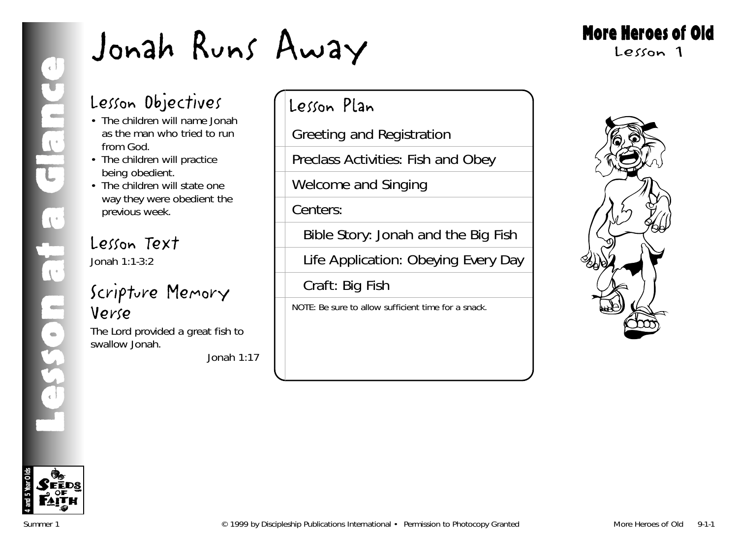# More Heroes of Old

Lesson 1

# Lesson Objectives

- The children will name Jonah as the man who tried to run from God.
- The children will practice being obedient.
- The children will state one way they were obedient the previous week.

# Lesson Text

Jonah 1:1-3:2

# Scripture Memory Verse

The Lord provided a great fish to swallow Jonah.

*Jonah 1:17*

# Lesson Plan

Greeting and Registration

Preclass Activities: Fish and Obey

Welcome and Singing

Centers:

Bible Story: Jonah and the Big Fish

Life Application: Obeying Every Day

Craft: Big Fish

NOTE: Be sure to allow sufficient time for a snack.



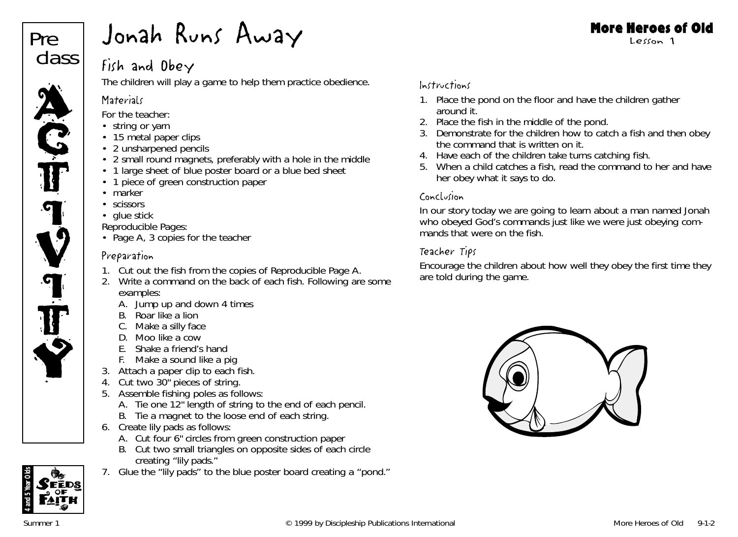

# Fish and Obey

The children will play a game to help them practice obedience.

# **Materials**

*For the teacher:*

- string or yarr
- 15 metal paper clips
- 2 unsharpened pencils
- 2 small round magnets, preferably with a hole in the middle
- 1 large sheet of blue poster board or a blue bed sheet
- 1 piece of green construction paper
- marker
- scissors
- glue stick

*Reproducible Pages:*

• Page A, 3 copies for the teacher

# Preparation

- 1. Cut out the fish from the copies of Reproducible Page A.
- 2. Write a command on the back of each fish. Following are some examples:
	- A. Jump up and down 4 times
	- B. Roar like a lion
	- C. Make a silly face
	- D. Moo like a cow
	- E. Shake a friend's hand
	- F. Make a sound like a pig
- 3. Attach a paper clip to each fish.
- 4. Cut two 30" pieces of string.
- 5. Assemble fishing poles as follows:
	- A. Tie one 12" length of string to the end of each pencil.
	- B. Tie a magnet to the loose end of each string.
- 6. Create lily pads as follows:
	- A. Cut four 6" circles from green construction paper
	- B. Cut two small triangles on opposite sides of each circle creating "lily pads."
- 7. Glue the "lily pads" to the blue poster board creating a "pond."

# Instructions

- 1. Place the pond on the floor and have the children gather around it.
- 2. Place the fish in the middle of the pond.
- 3. Demonstrate for the children how to catch a fish and then obey the command that is written on it.
- 4. Have each of the children take turns catching fish.
- 5. When a child catches a fish, read the command to her and have her obey what it says to do.

# Conclusion

In our story today we are going to learn about a man named Jonah who obeyed God's commands just like we were just obeying commands that were on the fish.

# Teacher Tips

Encourage the children about how well they obey the first time they are told during the game.



FĒDS

**4 and 5 Year Olds**

#### More Heroes of Old Lesson 1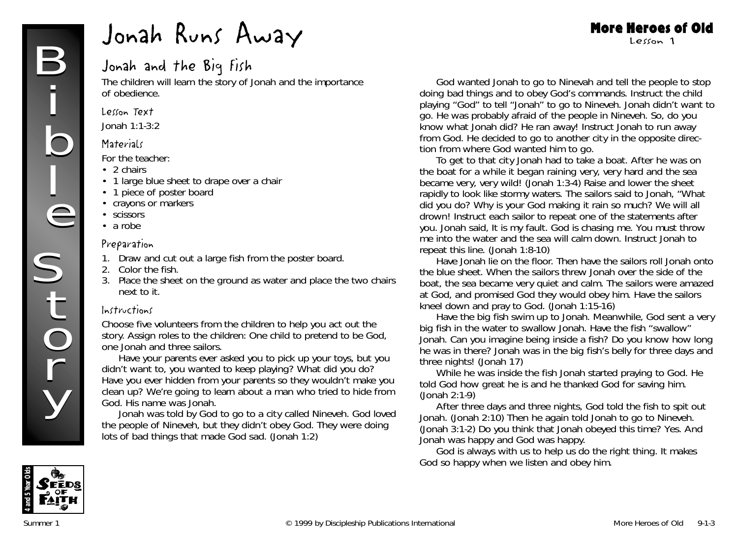# Jonah and the Big Fish

The children will learn the story of Jonah and the importance of obedience.

#### Lesson Text

Jonah 1:1-3:2

#### **Materials**

*For the teacher:*

- 2 chairs
- 1 large blue sheet to drape over a chair
- 1 piece of poster board
- crayons or markers
- scissors
- a robe

#### Preparation

- 1. Draw and cut out a large fish from the poster board.
- 2. Color the fish.
- 3. Place the sheet on the ground as water and place the two chairs next to it.

#### Instructions

Choose five volunteers from the children to help you act out the story. Assign roles to the children: One child to pretend to be God, one Jonah and three sailors.

*Have your parents ever asked you to pick up your toys, but you didn't want to, you wanted to keep playing? What did you do? Have you ever hidden from your parents so they wouldn't make you clean up? We're going to learn about a man who tried to hide from God. His name was Jonah.*

*Jonah was told by God to go to a city called Nineveh. God loved the people of Nineveh, but they didn't obey God. They were doing lots of bad things that made God sad.* (Jonah 1:2)

*God wanted Jonah to go to Ninevah and tell the people to stop doing bad things and to obey God's commands.* Instruct the child playing "God" to tell "Jonah" to go to Nineveh. *Jonah didn't want to go. He was probably afraid of the people in Nineveh. So, do you know what Jonah did? He ran away!* Instruct Jonah to run away from God. *He decided to go to another city in the opposite direction from where God wanted him to go.*

More Heroes of Old Lesson 1

*To get to that city Jonah had to take a boat. After he was on the boat for a while it began raining very, very hard and the sea became very, very wild!* (Jonah 1:3-4) Raise and lower the sheet rapidly to look like stormy waters. *The sailors said to Jonah, "What did you do? Why is your God making it rain so much? We will all drown!* Instruct each sailor to repeat one of the statements after you. *Jonah said, It is my fault. God is chasing me. You must throw me into the water and the sea will calm down.* Instruct Jonah to repeat this line. (Jonah 1:8-10)

Have Jonah lie on the floor. Then have the sailors roll Jonah onto the blue sheet. *When the sailors threw Jonah over the side of the boat, the sea became very quiet and calm*. *The sailors were amazed at God, and promised God they would obey him.* Have the sailors kneel down and pray to God. (Jonah 1:15-16)

Have the big fish swim up to Jonah. *Meanwhile, God sent a very big fish in the water to swallow Jonah.* Have the fish "swallow" Jonah. *Can you imagine being inside a fish? Do you know how long he was in there? Jonah was in the big fish's belly for three days and three nights!* (Jonah 17)

*While he was inside the fish Jonah started praying to God. He told God how great he is and he thanked God for saving him.* (Jonah 2:1-9)

*After three days and three nights, God told the fish to spit out Jonah.* (Jonah 2:10) *Then he again told Jonah to go to Nineveh.* (Jonah 3:1-2) *Do you think that Jonah obeyed this time? Yes. And Jonah was happy and God was happy.*

*God is always with us to help us do the right thing. It makes God so happy when we listen and obey him.*

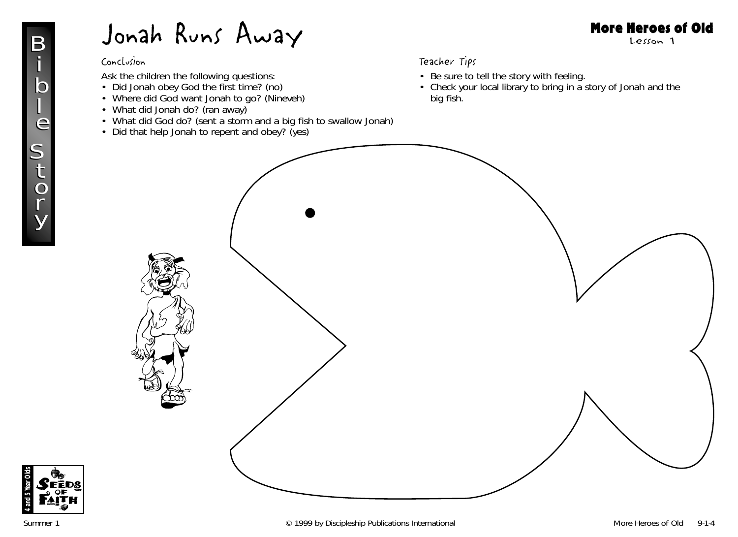#### Conclusion

Ask the children the following questions:

- 
- Did Jonah obey God the first time? (no) Where did God want Jonah to go? (Nineveh)
- What did Jonah do? (ran away)
- What did God do? (sent a storm and a big fish to swallow Jonah)
- Did that help Jonah to repent and obey? (yes)

#### Teacher Tips

- Be sure to tell the story with feeling.
- Check your local library to bring in a story of Jonah and the big fish.



More Heroes of Old Lesson 1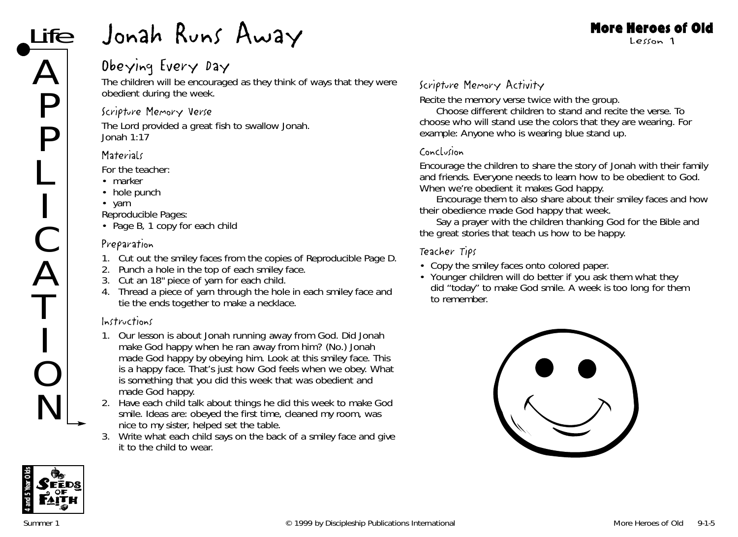# Obeying Every Day

The children will be encouraged as they think of ways that they were obedient during the week.

# Scripture Memory Verse

The Lord provided a great fish to swallow Jonah. *Jonah 1:17*

# **Materials**

*For the teacher:*

- marker
- hole punch
- yarn

*Reproducible Pages:*

• Page B, 1 copy for each child

## Preparation

- 1. Cut out the smiley faces from the copies of Reproducible Page D.
- 2. Punch a hole in the top of each smiley face.
- 3. Cut an 18" piece of yarn for each child.
- 4. Thread a piece of yarn through the hole in each smiley face and tie the ends together to make a necklace.

# Instructions

- 1. *Our lesson is about Jonah running away from God. Did Jonah make God happy when he ran away from him?* (No.) *Jonah made God happy by obeying him. Look at this smiley face. This is a happy face. That's just how God feels when we obey. What is something that you did this week that was obedient and made God happy.*
- 2. Have each child talk about things he did this week to make God smile. Ideas are: obeyed the first time, cleaned my room, was nice to my sister, helped set the table.
- 3. Write what each child says on the back of a smiley face and give it to the child to wear.

# Scripture Memory Activity

Recite the memory verse twice with the group.

Choose different children to stand and recite the verse. To choose who will stand use the colors that they are wearing. For example: *Anyone who is wearing blue stand up.*

#### Conclusion

Encourage the children to share the story of Jonah with their family and friends. *Everyone needs to learn how to be obedient to God. When we're obedient it makes God happy.*

Encourage them to also share about their smiley faces and how their obedience made God happy that week.

Say a prayer with the children thanking God for the Bible and the great stories that teach us how to be happy.

#### Teacher Tips

- Copy the smiley faces onto colored paper.
- Younger children will do better if you ask them what they did "today" to make God smile. A week is too long for them to remember.





More Heroes of Old Lesson 1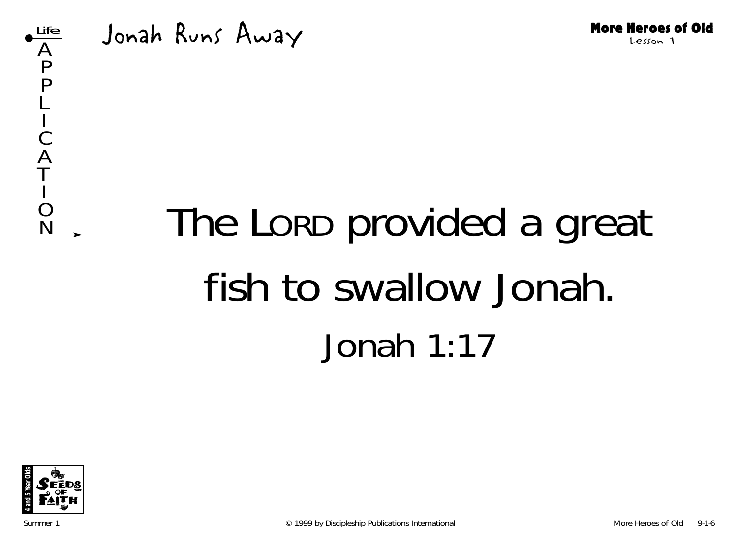

Jonah Runs Away

# $R_{N}^{\circ}$  The Lorp provided a great fish to swallow Jonah. Jonah 1:17

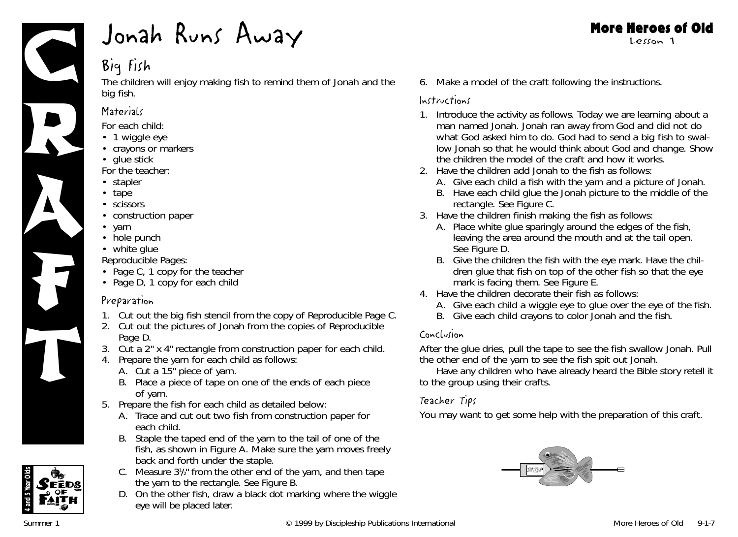

# Big Fish

The children will enjoy making fish to remind them of Jonah and the big fish.

# **Materials**

*For each child:*

- 1 wiggle eye
- crayons or markers
- glue stick

*For the teacher:*

- stapler
- tape
- scissors
- construction paper
- yarn
- hole punch
- white glue
- *Reproducible Pages:*
- Page C, 1 copy for the teacher
- Page D, 1 copy for each child

# Preparation

- 1. Cut out the big fish stencil from the copy of Reproducible Page C.
- 2. Cut out the pictures of Jonah from the copies of Reproducible Page D.
- 3. Cut a 2" x 4" rectangle from construction paper for each child.
- 4. Prepare the yarn for each child as follows:
	- A. Cut a 15" piece of yarn.
	- B. Place a piece of tape on one of the ends of each piece of yarn.
- 5. Prepare the fish for each child as detailed below:
	- A. Trace and cut out two fish from construction paper for each child.
	- B. Staple the taped end of the yarn to the tail of one of the fish, as shown in Figure A. Make sure the yarn moves freely back and forth under the staple.
	- C. Measure  $3\frac{1}{2}$  from the other end of the yarn, and then tape the yarn to the rectangle. See Figure B.
	- D. On the other fish, draw a black dot marking where the wiggle eye will be placed later.

#### More Heroes of Old Lesson 1

6. Make a model of the craft following the instructions.

# Instructions

- 1. Introduce the activity as follows. *Today we are learning about a man named Jonah. Jonah ran away from God and did not do what God asked him to do. God had to send a big fish to swallow Jonah so that he would think about God and change.* Show the children the model of the craft and how it works.
- 2. Have the children add Jonah to the fish as follows:
	- A. Give each child a fish with the yarn and a picture of Jonah.
	- B. Have each child glue the Jonah picture to the middle of the rectangle. See Figure C.
- 3. Have the children finish making the fish as follows:
	- A. Place white glue sparingly around the edges of the fish, leaving the area around the mouth and at the tail open. See Figure D.
	- B. Give the children the fish with the eye mark. Have the children glue that fish on top of the other fish so that the eye mark is facing them. See Figure E.
- 4. Have the children decorate their fish as follows:
	- A. Give each child a wiggle eye to glue over the eye of the fish.
	- B. Give each child crayons to color Jonah and the fish.

# Conclusion

After the glue dries, pull the tape to see the fish swallow Jonah. Pull the other end of the yarn to see the fish spit out Jonah.

Have any children who have already heard the Bible story retell it to the group using their crafts.

# Teacher Tips

You may want to get some help with the preparation of this craft.



**4 and 5 Year Olds**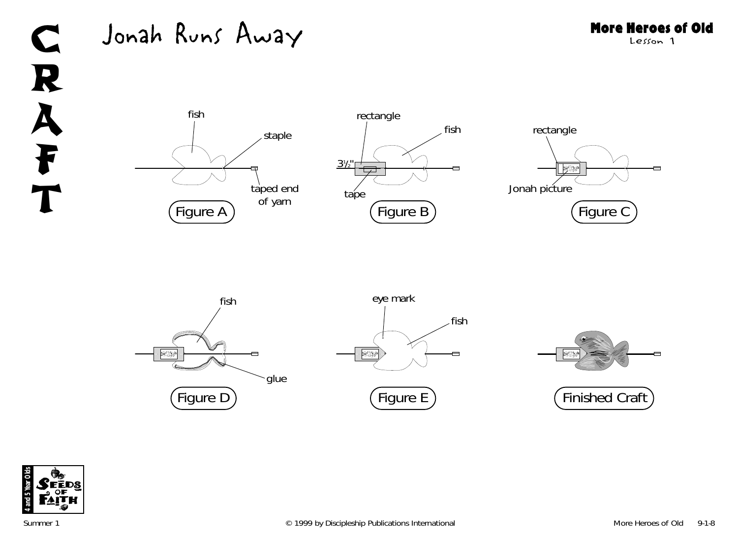# C R A F T

# Jonah Runs Away















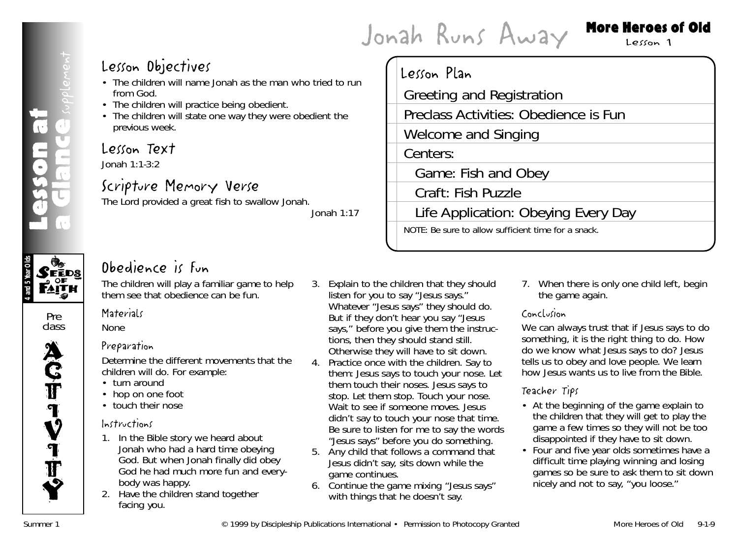# Jonah Runs Away More Heroes of Old

# Lesson 1

a dlance <sub>seplement</sub> Lesson at **UNIER**<br>1985



#### Pre class



# Lesson Objectives

- The children will name Jonah as the man who tried to run from God.
- The children will practice being obedient.
- The children will state one way they were obedient the previous week.

# Lesson Text

Jonah 1:1-3:2

# Scripture Memory Verse

The Lord provided a great fish to swallow Jonah.

*Jonah 1:17*

# Lesson Plan Greeting and Registration Preclass Activities: Obedience is Fun Welcome and Singing Centers: Game: Fish and Obey Craft: Fish Puzzle Life Application: Obeying Every Day NOTE: Be sure to allow sufficient time for a snack.

# Obedience is Fun

The children will play a familiar game to help them see that obedience can be fun.

# **Materials**

None

# Preparation

Determine the different movements that the children will do. For example:

- turn around
- hop on one foot
- touch their nose

# Instructions

- 1. *In the Bible story we heard about Jonah who had a hard time obeying God. But when Jonah finally did obey God he had much more fun and everybody was happy.*
- 2. Have the children stand together facing you.
- 3. Explain to the children that they should listen for you to say "Jesus says." Whatever "Jesus says" they should do. But if they don't hear you say "Jesus says," before you give them the instructions, then they should stand still. Otherwise they will have to sit down.
- 4. Practice once with the children. Say to them: *Jesus says to touch your nose.* Let them touch their noses. *Jesus says to stop.* Let them stop. *Touch your nose.* Wait to see if someone moves. *Jesus didn't say to touch your nose that time. Be sure to listen for me to say the words "Jesus says" before you do something.*
- 5. Any child that follows a command that Jesus didn't say, sits down while the game continues.
- 6. Continue the game mixing "Jesus says" with things that he doesn't say.

7. When there is only one child left, begin the game again.

# Conclusion

*We can always trust that if Jesus says to do something, it is the right thing to do. How do we know what Jesus says to do? Jesus tells us to obey and love people. We learn how Jesus wants us to live from the Bible.*

# Teacher Tips

- At the beginning of the game explain to the children that they will get to play the game a few times so they will not be too disappointed if they have to sit down.
- Four and five year olds sometimes have a difficult time playing winning and losing games so be sure to ask them to sit down nicely and not to say, "you loose."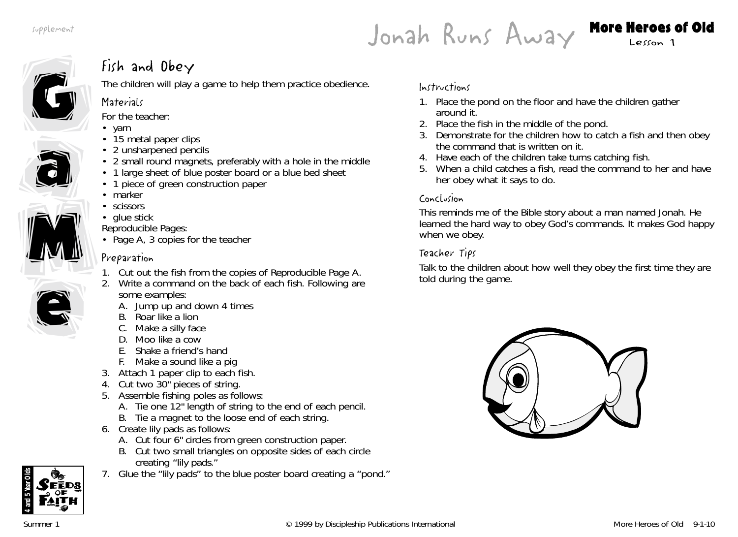Jonah Runs Away More Heroes of Old



# Fish and Obey

The children will play a game to help them practice obedience.

# **Materials**

*For the teacher:*

- yarn
- 15 metal paper clips
- 2 unsharpened pencils
- 2 small round magnets, preferably with a hole in the middle
- 1 large sheet of blue poster board or a blue bed sheet
- 1 piece of green construction paper
- marker
- scissors
- glue stick

*Reproducible Pages:*

• Page A, 3 copies for the teacher

# Preparation

- 1. Cut out the fish from the copies of Reproducible Page A.
- 2. Write a command on the back of each fish. Following are some examples:
	- A. Jump up and down 4 times
	- B. Roar like a lion
	- C. Make a silly face
	- D. Moo like a cow
	- E. Shake a friend's hand
	- F. Make a sound like a pig
- 3. Attach 1 paper clip to each fish.
- 4. Cut two 30" pieces of string.
- 5. Assemble fishing poles as follows:
	- A. Tie one 12" length of string to the end of each pencil.
	- B. Tie a magnet to the loose end of each string.
- 6. Create lily pads as follows:
	- A. Cut four 6" circles from green construction paper.
	- B. Cut two small triangles on opposite sides of each circle creating "lily pads."
- 7. Glue the "lily pads" to the blue poster board creating a "pond."

# Instructions

- 1. Place the pond on the floor and have the children gather around it.
- 2. Place the fish in the middle of the pond.
- 3. Demonstrate for the children how to catch a fish and then obey the command that is written on it.
- 4. Have each of the children take turns catching fish.
- 5. When a child catches a fish, read the command to her and have her obey what it says to do.

# Conclusion

This reminds me of the Bible story about a man named Jonah. He learned the hard way to obey God's commands. It makes God happy when we obey.

# Teacher Tips

Talk to the children about how well they obey the first time they are told during the game.





e

e

M

M

a

a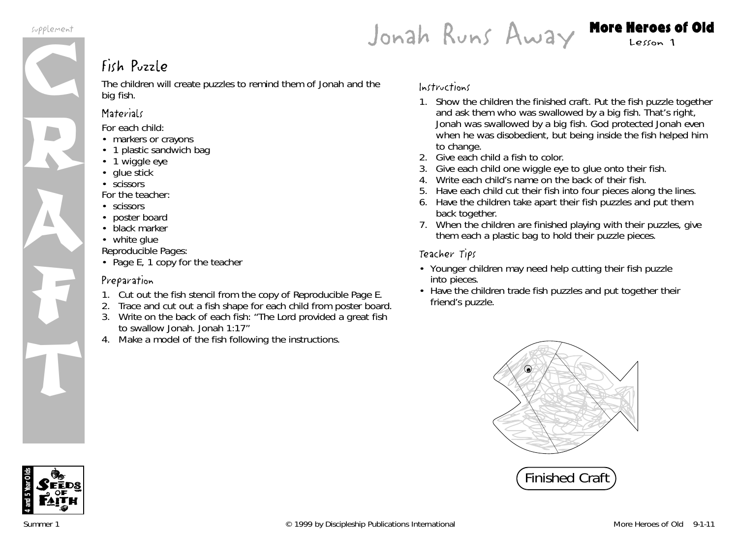R

A

F

T



# Fish Puzzle

The children will create puzzles to remind them of Jonah and the big fish.

# **Materials**

*For each child:*

- markers or crayons
- 1 plastic sandwich bag
- 1 wiggle eye
- glue stick
- scissors

*For the teacher:*

- scissors
- poster board
- black marker
- white glue

*Reproducible Pages:*

• Page E, 1 copy for the teacher

# Preparation

- 1. Cut out the fish stencil from the copy of Reproducible Page E.
- 2. Trace and cut out a fish shape for each child from poster board.
- 3. Write on the back of each fish: "The Lord provided a great fish to swallow Jonah. Jonah 1:17"
- 4. Make a model of the fish following the instructions.

# Instructions

- 1. Show the children the finished craft. Put the fish puzzle together and ask them who was swallowed by a big fish. *That's right, Jonah was swallowed by a big fish. God protected Jonah even when he was disobedient, but being inside the fish helped him to change.*
- 2. Give each child a fish to color.
- 3. Give each child one wiggle eye to glue onto their fish.
- 4. Write each child's name on the back of their fish.
- 5. Have each child cut their fish into four pieces along the lines.
- 6. Have the children take apart their fish puzzles and put them back together.
- 7. When the children are finished playing with their puzzles, give them each a plastic bag to hold their puzzle pieces.

# Teacher Tips

- Younger children may need help cutting their fish puzzle into pieces.
- Have the children trade fish puzzles and put together their friend's puzzle.



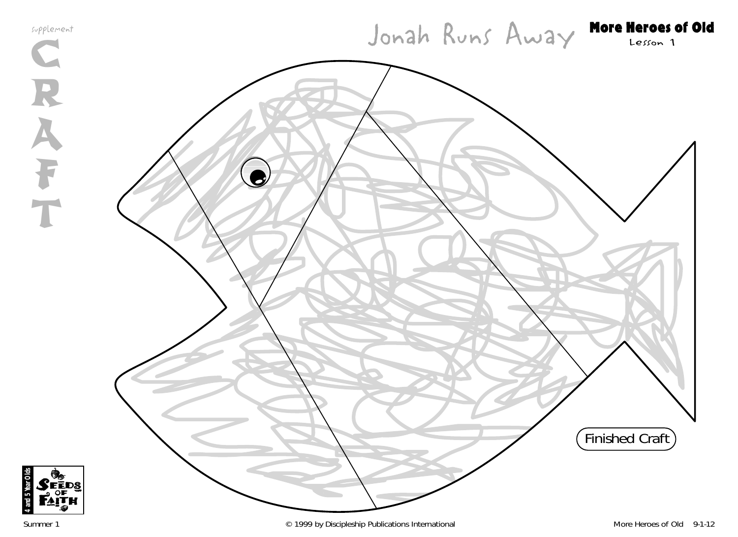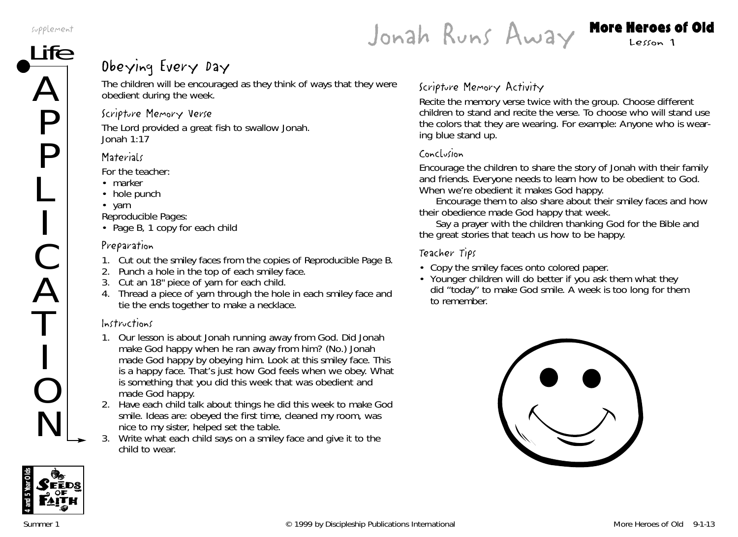A

P

P

L

C

A

T

O

N

Jonah Runs Away More Heroes of Old

# $\rm \overline{He}$  Dbeying Every Day

The children will be encouraged as they think of ways that they were obedient during the week.

#### Scripture Memory Verse

The Lord provided a great fish to swallow Jonah. *Jonah 1:17*

#### **Materials**

*For the teacher:*

- marker
- hole punch
- yarn

*Reproducible Pages:*

• Page B, 1 copy for each chilc

# Preparation

- 1. Cut out the smiley faces from the copies of Reproducible Page B.
- 2. Punch a hole in the top of each smiley face.
- 3. Cut an 18" piece of yarn for each child.
- 4. Thread a piece of yarn through the hole in each smiley face and tie the ends together to make a necklace.

# Instructions

- 1. *Our lesson is about Jonah running away from God. Did Jonah make God happy when he ran away from him?* (No.) *Jonah made God happy by obeying him. Look at this smiley face. This is a happy face. That's just how God feels when we obey. What is something that you did this week that was obedient and made God happy.*
- 2. Have each child talk about things he did this week to make God smile. Ideas are: obeyed the first time, cleaned my room, was nice to my sister, helped set the table.
- 3. Write what each child says on a smiley face and give it to the child to wear.

# Scripture Memory Activity

Recite the memory verse twice with the group. Choose different children to stand and recite the verse. To choose who will stand use the colors that they are wearing. For example: *Anyone who is wearing blue stand up.*

## Conclusion

Encourage the children to share the story of Jonah with their family and friends. *Everyone needs to learn how to be obedient to God. When we're obedient it makes God happy.*

Encourage them to also share about their smiley faces and how their obedience made God happy that week.

Say a prayer with the children thanking God for the Bible and the great stories that teach us how to be happy.

## Teacher Tips

- Copy the smiley faces onto colored paper.
- Younger children will do better if you ask them what they did "today" to make God smile. A week is too long for them to remember.



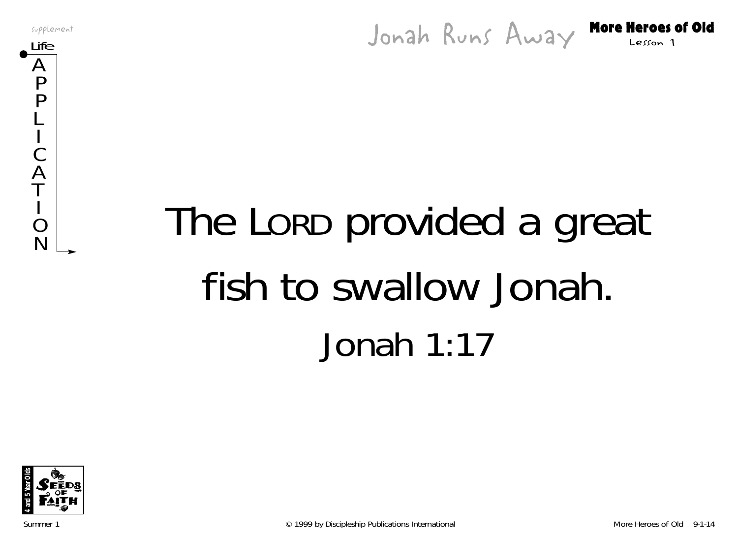supplement<br>Life **More Heroes of Old** Jonah Runs Away More Heroes of Old



# The LORD provided a great fish to swallow Jonah. Jonah 1:17

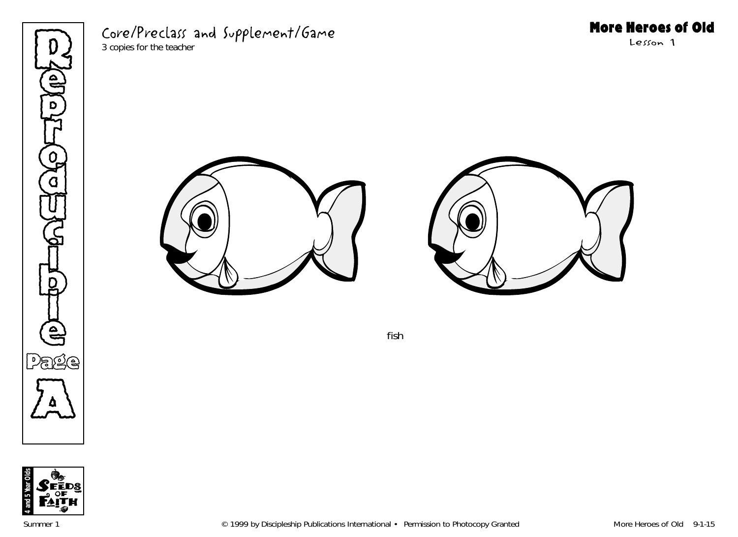

# Core/Preclass and Supplement/Game

3 copies for the teacher

# More Heroes of Old

Lesson 1





fish

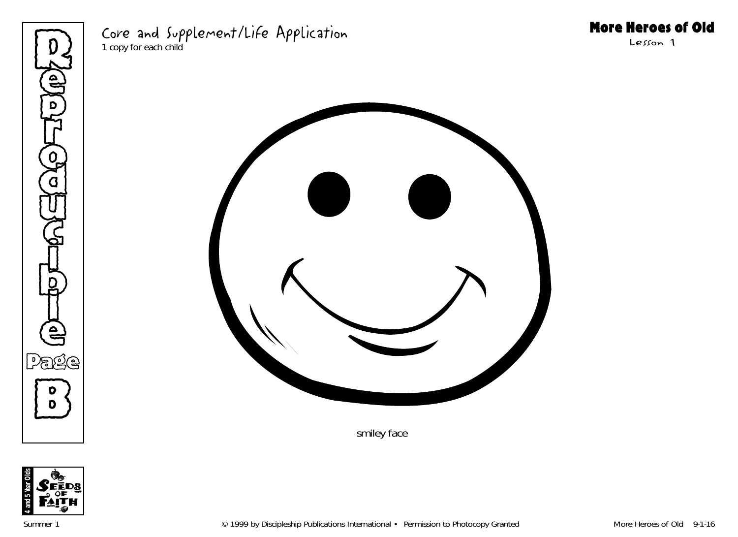

# Core and Supplement/Life Application

1 copy for each child

# More Heroes of Old

Lesson 1



smiley face

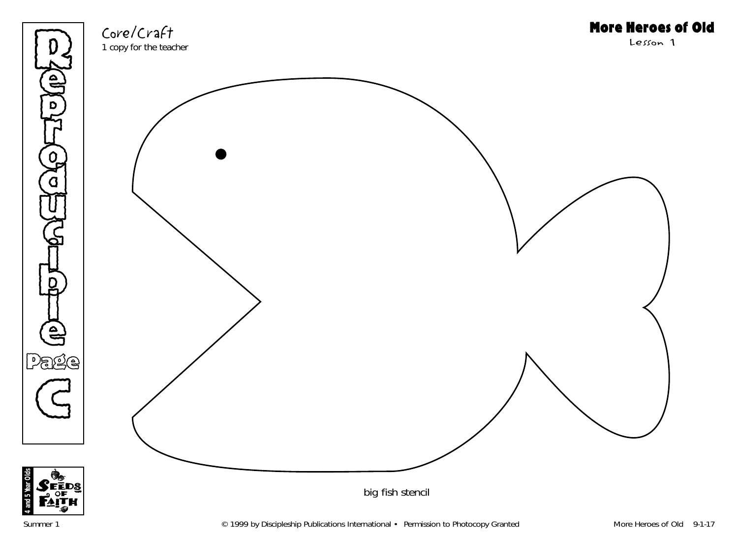

Core/Craft 1 copy for the teacher More Heroes of Old

Lesson 1



**4 and 5 Year Olds**

har Olo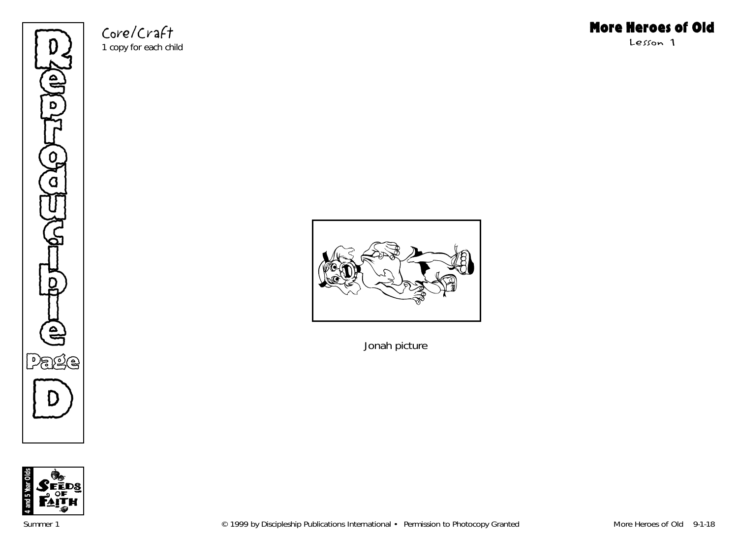

Core/Craft 1 copy for each child



Lesson 1



Jonah picture